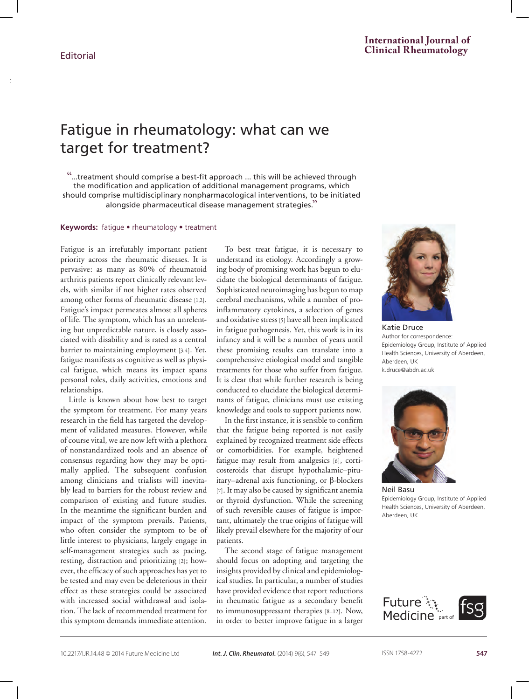$\mathbb{F}_q$  in target

# Fatigue in rheumatology: what can we target for treatment?

"...treatment should comprise a best-fit approach ... this will be achieved through the modification and application of additional management programs, which should comprise multidisciplinary nonpharmacological interventions, to be initiated alongside pharmaceutical disease management strategies."

**Keywords:** fatigue • rheumatology • treatment

Fatigue is an irrefutably important patient priority across the rheumatic diseases. It is pervasive: as many as 80% of rheumatoid arthritis patients report clinically relevant levels, with similar if not higher rates observed among other forms of rheumatic disease [1,2]. Fatigue's impact permeates almost all spheres of life. The symptom, which has an unrelenting but unpredictable nature, is closely associated with disability and is rated as a central barrier to maintaining employment [3,4]. Yet, fatigue manifests as cognitive as well as physical fatigue, which means its impact spans personal roles, daily activities, emotions and relationships.

Little is known about how best to target the symptom for treatment. For many years research in the field has targeted the development of validated measures. However, while of course vital, we are now left with a plethora of nonstandardized tools and an absence of consensus regarding how they may be optimally applied. The subsequent confusion among clinicians and trialists will inevitably lead to barriers for the robust review and comparison of existing and future studies. In the meantime the significant burden and impact of the symptom prevails. Patients, who often consider the symptom to be of little interest to physicians, largely engage in self-management strategies such as pacing, resting, distraction and prioritizing [2]; however, the efficacy of such approaches has yet to be tested and may even be deleterious in their effect as these strategies could be associated with increased social withdrawal and isolation. The lack of recommended treatment for this symptom demands immediate attention.

To best treat fatigue, it is necessary to understand its etiology. Accordingly a growing body of promising work has begun to elucidate the biological determinants of fatigue. Sophisticated neuroimaging has begun to map cerebral mechanisms, while a number of proinflammatory cytokines, a selection of genes and oxidative stress [5] have all been implicated in fatigue pathogenesis. Yet, this work is in its infancy and it will be a number of years until these promising results can translate into a comprehensive etiological model and tangible treatments for those who suffer from fatigue. It is clear that while further research is being conducted to elucidate the biological determinants of fatigue, clinicians must use existing knowledge and tools to support patients now.

In the first instance, it is sensible to confirm that the fatigue being reported is not easily explained by recognized treatment side effects or comorbidities. For example, heightened fatigue may result from analgesics [6], corticosteroids that disrupt hypothalamic–pituitary–adrenal axis functioning, or β-blockers [7]. It may also be caused by significant anemia or thyroid dysfunction. While the screening of such reversible causes of fatigue is important, ultimately the true origins of fatigue will likely prevail elsewhere for the majority of our patients.

The second stage of fatigue management should focus on adopting and targeting the insights provided by clinical and epidemiological studies. In particular, a number of studies have provided evidence that report reductions in rheumatic fatigue as a secondary benefit to immunosuppressant therapies [8–12]. Now, in order to better improve fatigue in a larger



Katie Druce Author for correspondence: Epidemiology Group, Institute of Applied Health Sciences, University of Aberdeen, Aberdeen, UK k.druce@abdn.ac.uk



Neil Basu Epidemiology Group, Institute of Applied Health Sciences, University of Aberdeen, Aberdeen, UK

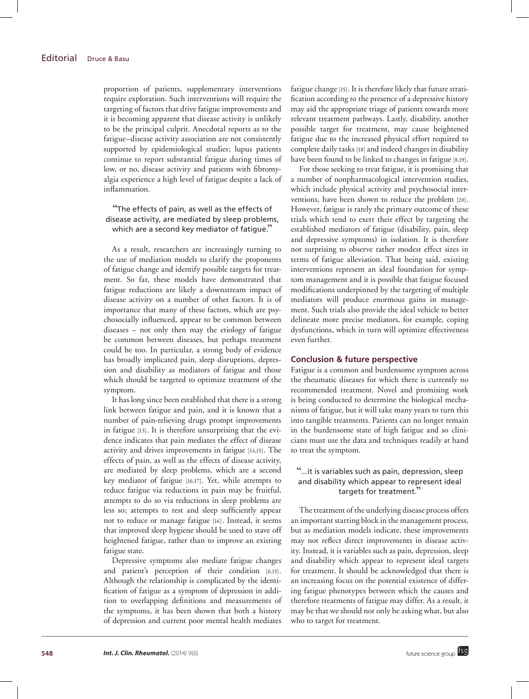proportion of patients, supplementary interventions require exploration. Such interventions will require the targeting of factors that drive fatigue improvements and it is becoming apparent that disease activity is unlikely to be the principal culprit. Anecdotal reports as to the fatigue–disease activity association are not consistently supported by epidemiological studies; lupus patients continue to report substantial fatigue during times of low, or no, disease activity and patients with fibromyalgia experience a high level of fatigue despite a lack of inflammation.

## "The effects of pain, as well as the effects of disease activity, are mediated by sleep problems, which are a second key mediator of fatigue."

As a result, researchers are increasingly turning to the use of mediation models to clarify the proponents of fatigue change and identify possible targets for treatment. So far, these models have demonstrated that fatigue reductions are likely a downstream impact of disease activity on a number of other factors. It is of importance that many of these factors, which are psychosocially influenced, appear to be common between diseases – not only then may the etiology of fatigue be common between diseases, but perhaps treatment could be too. In particular, a strong body of evidence has broadly implicated pain, sleep disruptions, depression and disability as mediators of fatigue and those which should be targeted to optimize treatment of the symptom.

It has long since been established that there is a strong link between fatigue and pain, and it is known that a number of pain-relieving drugs prompt improvements in fatigue [13]. It is therefore unsurprising that the evidence indicates that pain mediates the effect of disease activity and drives improvements in fatigue [14,15]. The effects of pain, as well as the effects of disease activity, are mediated by sleep problems, which are a second key mediator of fatigue [16,17]. Yet, while attempts to reduce fatigue via reductions in pain may be fruitful, attempts to do so via reductions in sleep problems are less so; attempts to rest and sleep sufficiently appear not to reduce or manage fatigue [16]. Instead, it seems that improved sleep hygiene should be used to stave off heightened fatigue, rather than to improve an existing fatigue state.

Depressive symptoms also mediate fatigue changes and patient's perception of their condition [6,15]. Although the relationship is complicated by the identification of fatigue as a symptom of depression in addition to overlapping definitions and measurements of the symptoms, it has been shown that both a history of depression and current poor mental health mediates fatigue change [15]. It is therefore likely that future stratification according to the presence of a depressive history may aid the appropriate triage of patients towards more relevant treatment pathways. Lastly, disability, another possible target for treatment, may cause heightened fatigue due to the increased physical effort required to complete daily tasks [18] and indeed changes in disability have been found to be linked to changes in fatigue [8,19].

For those seeking to treat fatigue, it is promising that a number of nonpharmacological intervention studies, which include physical activity and psychosocial interventions, have been shown to reduce the problem [20]. However, fatigue is rarely the primary outcome of these trials which tend to exert their effect by targeting the established mediators of fatigue (disability, pain, sleep and depressive symptoms) in isolation. It is therefore not surprising to observe rather modest effect sizes in terms of fatigue alleviation. That being said, existing interventions represent an ideal foundation for symptom management and it is possible that fatigue focused modifications underpinned by the targeting of multiple mediators will produce enormous gains in management. Such trials also provide the ideal vehicle to better delineate more precise mediators, for example, coping dysfunctions, which in turn will optimize effectiveness even further.

## **Conclusion & future perspective**

Fatigue is a common and burdensome symptom across the rheumatic diseases for which there is currently no recommended treatment. Novel and promising work is being conducted to determine the biological mechanisms of fatigue, but it will take many years to turn this into tangible treatments. Patients can no longer remain in the burdensome state of high fatigue and so clinicians must use the data and techniques readily at hand to treat the symptom.

# "...it is variables such as pain, depression, sleep and disability which appear to represent ideal targets for treatment."

The treatment of the underlying disease process offers an important starting block in the management process, but as mediation models indicate, these improvements may not reflect direct improvements in disease activity. Instead, it is variables such as pain, depression, sleep and disability which appear to represent ideal targets for treatment. It should be acknowledged that there is an increasing focus on the potential existence of differing fatigue phenotypes between which the causes and therefore treatments of fatigue may differ. As a result, it may be that we should not only be asking what, but also who to target for treatment.